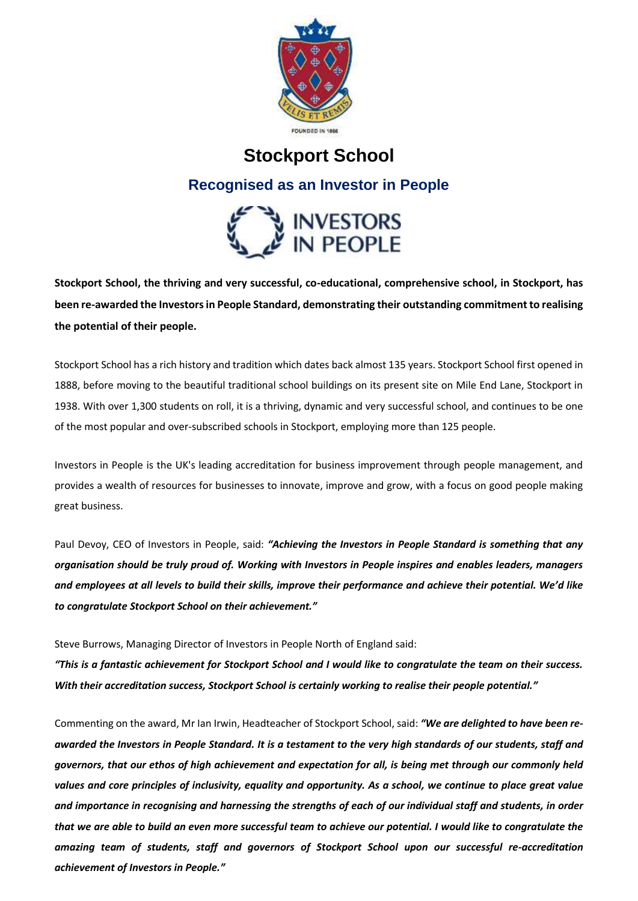

# **Stockport School**

## **Recognised as an Investor in People**



**Stockport School, the thriving and very successful, co-educational, comprehensive school, in Stockport, has been re-awarded the Investors in People Standard, demonstrating their outstanding commitment to realising the potential of their people.** 

Stockport School has a rich history and tradition which dates back almost 135 years. Stockport School first opened in 1888, before moving to the beautiful traditional school buildings on its present site on Mile End Lane, Stockport in 1938. With over 1,300 students on roll, it is a thriving, dynamic and very successful school, and continues to be one of the most popular and over-subscribed schools in Stockport, employing more than 125 people.

Investors in People is the UK's leading accreditation for business improvement through people management, and provides a wealth of resources for businesses to innovate, improve and grow, with a focus on good people making great business.

Paul Devoy, CEO of Investors in People, said: *"Achieving the Investors in People Standard is something that any organisation should be truly proud of. Working with Investors in People inspires and enables leaders, managers and employees at all levels to build their skills, improve their performance and achieve their potential. We'd like to congratulate Stockport School on their achievement."*

Steve Burrows, Managing Director of Investors in People North of England said:

*"This is a fantastic achievement for Stockport School and I would like to congratulate the team on their success. With their accreditation success, Stockport School is certainly working to realise their people potential."* 

Commenting on the award, Mr Ian Irwin, Headteacher of Stockport School, said: *"We are delighted to have been reawarded the Investors in People Standard. It is a testament to the very high standards of our students, staff and governors, that our ethos of high achievement and expectation for all, is being met through our commonly held values and core principles of inclusivity, equality and opportunity. As a school, we continue to place great value and importance in recognising and harnessing the strengths of each of our individual staff and students, in order that we are able to build an even more successful team to achieve our potential. I would like to congratulate the amazing team of students, staff and governors of Stockport School upon our successful re-accreditation achievement of Investors in People."*